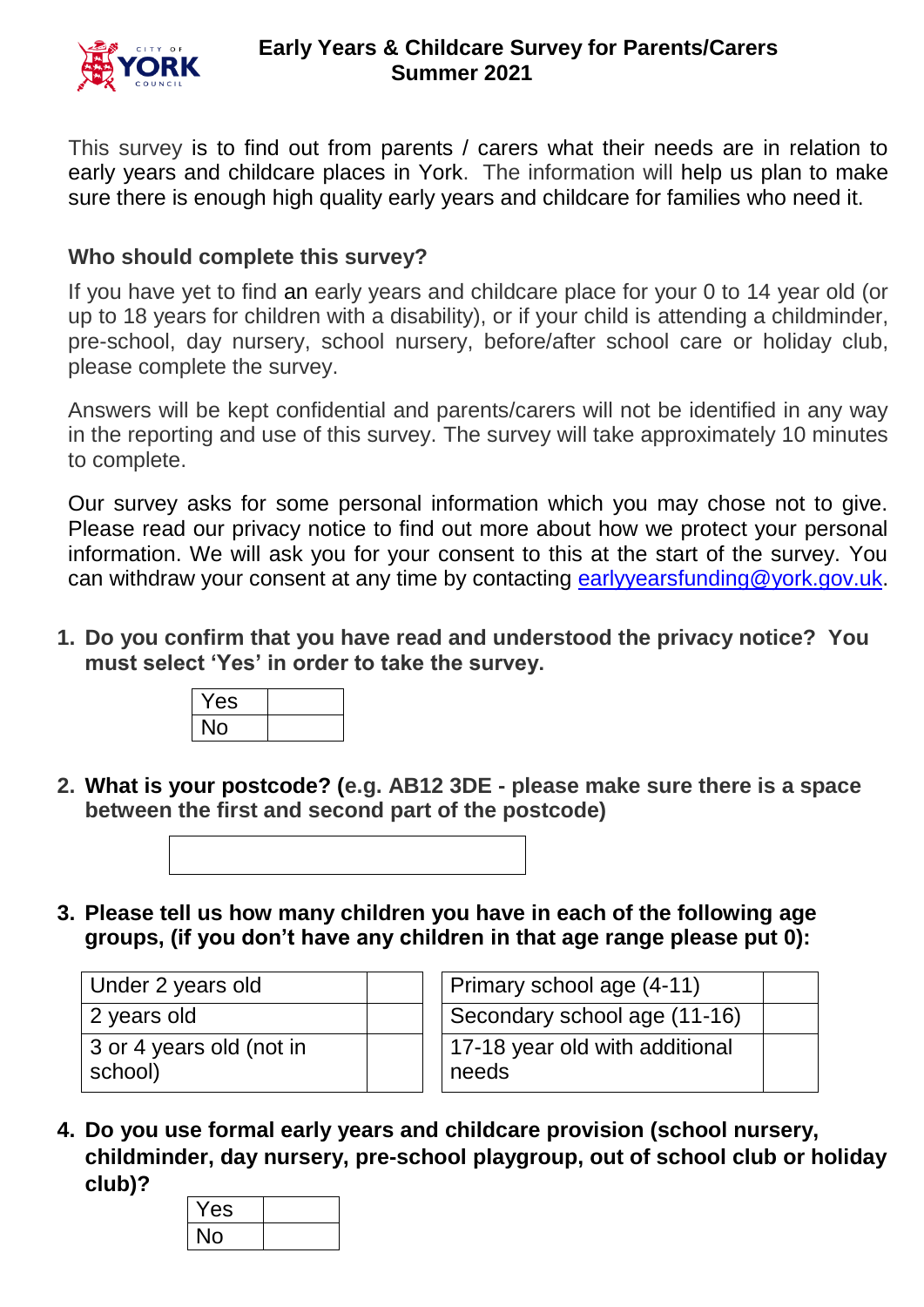

This survey is to find out from parents / carers what their needs are in relation to early years and childcare places in York. The information will help us plan to make sure there is enough high quality early years and childcare for families who need it.

#### **Who should complete this survey?**

If you have yet to find an early years and childcare place for your 0 to 14 year old (or up to 18 years for children with a disability), or if your child is attending a childminder, pre-school, day nursery, school nursery, before/after school care or holiday club, please complete the survey.

Answers will be kept confidential and parents/carers will not be identified in any way in the reporting and use of this survey. The survey will take approximately 10 minutes to complete.

Our survey asks for some personal information which you may chose not to give. Please read our privacy notice to find out more about how we protect your personal information. We will ask you for your consent to this at the start of the survey. You can withdraw your consent at any time by contacting [earlyyearsfunding@york.gov.uk.](mailto:earlyyearsfunding@york.gov.uk)

**1. Do you confirm that you have read and understood the privacy notice? You must select 'Yes' in order to take the survey.**

| Yes |  |
|-----|--|
| IО  |  |

**2. What is your postcode? (e.g. AB12 3DE - please make sure there is a space between the first and second part of the postcode)**



**3. Please tell us how many children you have in each of the following age groups, (if you don't have any children in that age range please put 0):**

| Under 2 years old                   | Primary school age (4-11)               |
|-------------------------------------|-----------------------------------------|
| 2 years old                         | Secondary school age (11-16)            |
| 3 or 4 years old (not in<br>school) | 17-18 year old with additional<br>needs |

| Primary school age (4-11)               |  |
|-----------------------------------------|--|
| Secondary school age (11-16)            |  |
| 17-18 year old with additional<br>needs |  |

**4. Do you use formal early years and childcare provision (school nursery, childminder, day nursery, pre-school playgroup, out of school club or holiday club)?**

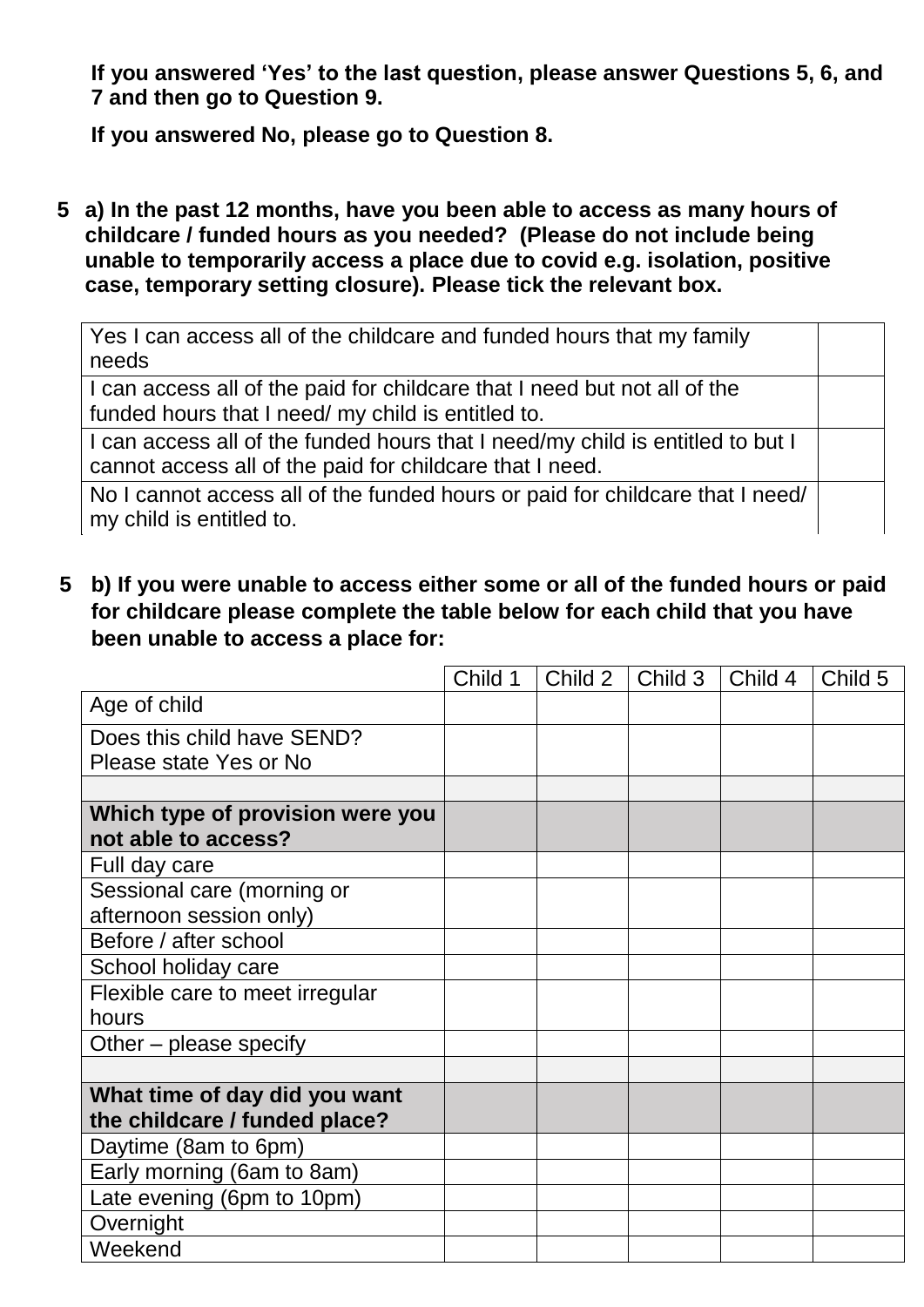**If you answered 'Yes' to the last question, please answer Questions 5, 6, and 7 and then go to Question 9.**

**If you answered No, please go to Question 8.**

**5 a) In the past 12 months, have you been able to access as many hours of childcare / funded hours as you needed? (Please do not include being unable to temporarily access a place due to covid e.g. isolation, positive case, temporary setting closure). Please tick the relevant box.**

Yes I can access all of the childcare and funded hours that my family needs

I can access all of the paid for childcare that I need but not all of the funded hours that I need/ my child is entitled to.

I can access all of the funded hours that I need/my child is entitled to but I cannot access all of the paid for childcare that I need.

No I cannot access all of the funded hours or paid for childcare that I need/ my child is entitled to.

 **5 b) If you were unable to access either some or all of the funded hours or paid for childcare please complete the table below for each child that you have been unable to access a place for:**

|                                  | Child 1 | Child 2 | Child 3 | Child 4 | Child 5 |
|----------------------------------|---------|---------|---------|---------|---------|
| Age of child                     |         |         |         |         |         |
| Does this child have SEND?       |         |         |         |         |         |
| Please state Yes or No           |         |         |         |         |         |
|                                  |         |         |         |         |         |
| Which type of provision were you |         |         |         |         |         |
| not able to access?              |         |         |         |         |         |
| Full day care                    |         |         |         |         |         |
| Sessional care (morning or       |         |         |         |         |         |
| afternoon session only)          |         |         |         |         |         |
| Before / after school            |         |         |         |         |         |
| School holiday care              |         |         |         |         |         |
| Flexible care to meet irregular  |         |         |         |         |         |
| hours                            |         |         |         |         |         |
| Other – please specify           |         |         |         |         |         |
|                                  |         |         |         |         |         |
| What time of day did you want    |         |         |         |         |         |
| the childcare / funded place?    |         |         |         |         |         |
| Daytime (8am to 6pm)             |         |         |         |         |         |
| Early morning (6am to 8am)       |         |         |         |         |         |
| Late evening (6pm to 10pm)       |         |         |         |         |         |
| Overnight                        |         |         |         |         |         |
| Weekend                          |         |         |         |         |         |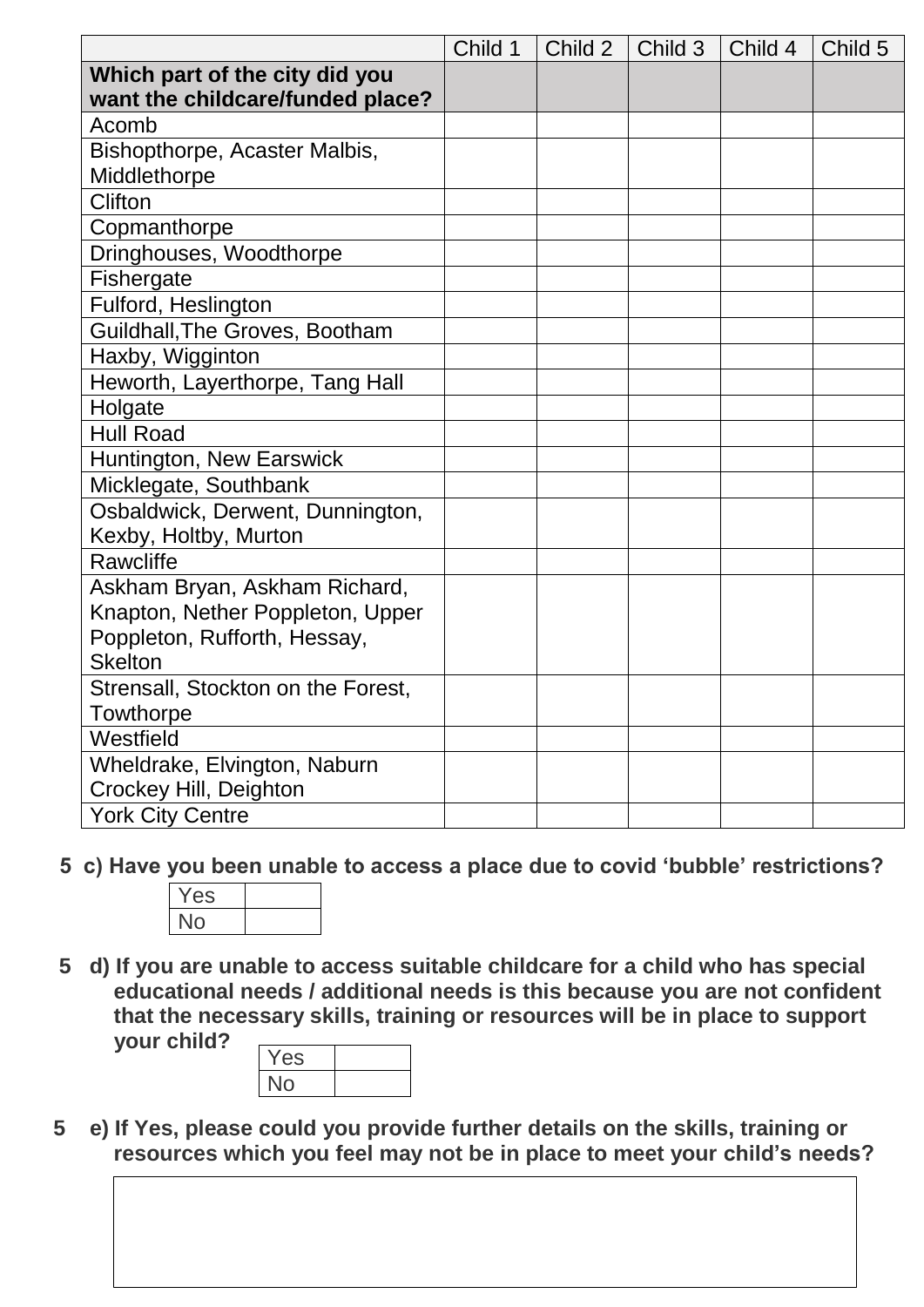|                                    | Child 1 | Child 2 | Child 3 | Child 4 | Child 5 |
|------------------------------------|---------|---------|---------|---------|---------|
| Which part of the city did you     |         |         |         |         |         |
| want the childcare/funded place?   |         |         |         |         |         |
| Acomb                              |         |         |         |         |         |
| Bishopthorpe, Acaster Malbis,      |         |         |         |         |         |
| Middlethorpe                       |         |         |         |         |         |
| Clifton                            |         |         |         |         |         |
| Copmanthorpe                       |         |         |         |         |         |
| Dringhouses, Woodthorpe            |         |         |         |         |         |
| Fishergate                         |         |         |         |         |         |
| Fulford, Heslington                |         |         |         |         |         |
| Guildhall, The Groves, Bootham     |         |         |         |         |         |
| Haxby, Wigginton                   |         |         |         |         |         |
| Heworth, Layerthorpe, Tang Hall    |         |         |         |         |         |
| Holgate                            |         |         |         |         |         |
| <b>Hull Road</b>                   |         |         |         |         |         |
| Huntington, New Earswick           |         |         |         |         |         |
| Micklegate, Southbank              |         |         |         |         |         |
| Osbaldwick, Derwent, Dunnington,   |         |         |         |         |         |
| Kexby, Holtby, Murton              |         |         |         |         |         |
| Rawcliffe                          |         |         |         |         |         |
| Askham Bryan, Askham Richard,      |         |         |         |         |         |
| Knapton, Nether Poppleton, Upper   |         |         |         |         |         |
| Poppleton, Rufforth, Hessay,       |         |         |         |         |         |
| <b>Skelton</b>                     |         |         |         |         |         |
| Strensall, Stockton on the Forest, |         |         |         |         |         |
| Towthorpe                          |         |         |         |         |         |
| Westfield                          |         |         |         |         |         |
| Wheldrake, Elvington, Naburn       |         |         |         |         |         |
| Crockey Hill, Deighton             |         |         |         |         |         |
| <b>York City Centre</b>            |         |         |         |         |         |

 **5 c) Have you been unable to access a place due to covid 'bubble' restrictions?**

| $\sim$ $\sim$<br>r es |  |
|-----------------------|--|
|                       |  |

**5 d) If you are unable to access suitable childcare for a child who has special educational needs / additional needs is this because you are not confident that the necessary skills, training or resources will be in place to support your child?**

| $-2S$ |  |
|-------|--|
|       |  |

 **5 e) If Yes, please could you provide further details on the skills, training or resources which you feel may not be in place to meet your child's needs?**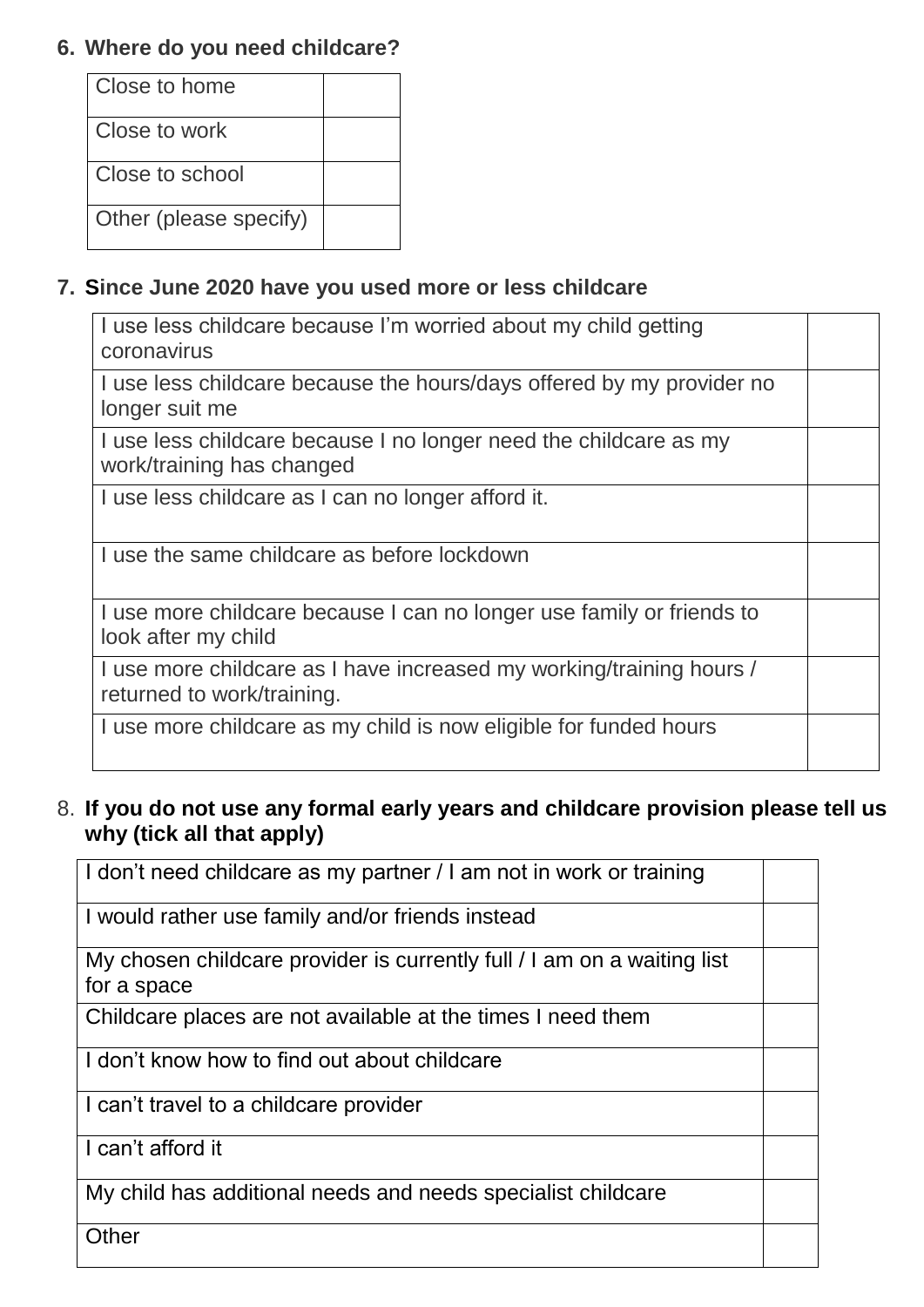# **6. Where do you need childcare?**

| Close to home          |  |
|------------------------|--|
| Close to work          |  |
| Close to school        |  |
| Other (please specify) |  |

## **7. Since June 2020 have you used more or less childcare**

| I use less childcare because I'm worried about my child getting<br>coronavirus                     |  |
|----------------------------------------------------------------------------------------------------|--|
| I use less childcare because the hours/days offered by my provider no<br>longer suit me            |  |
| I use less childcare because I no longer need the childcare as my<br>work/training has changed     |  |
| I use less childcare as I can no longer afford it.                                                 |  |
| I use the same childcare as before lockdown                                                        |  |
| I use more childcare because I can no longer use family or friends to<br>look after my child       |  |
| I use more childcare as I have increased my working/training hours /<br>returned to work/training. |  |
| I use more childcare as my child is now eligible for funded hours                                  |  |

## 8. **If you do not use any formal early years and childcare provision please tell us why (tick all that apply)**

| I don't need childcare as my partner / I am not in work or training                    |  |
|----------------------------------------------------------------------------------------|--|
| I would rather use family and/or friends instead                                       |  |
| My chosen childcare provider is currently full / I am on a waiting list<br>for a space |  |
| Childcare places are not available at the times I need them                            |  |
| I I don't know how to find out about childcare                                         |  |
| I can't travel to a childcare provider                                                 |  |
| I can't afford it                                                                      |  |
| My child has additional needs and needs specialist childcare                           |  |
| Other                                                                                  |  |